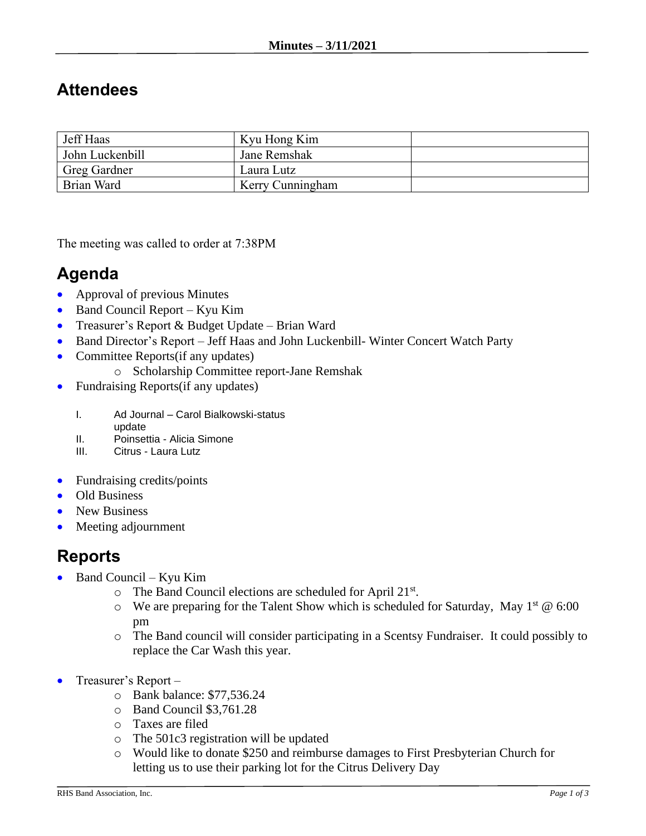## **Attendees**

| Jeff Haas           | Kyu Hong Kim     |  |
|---------------------|------------------|--|
| John Luckenbill     | Jane Remshak     |  |
| <b>Greg Gardner</b> | Laura Lutz       |  |
| Brian Ward          | Kerry Cunningham |  |

The meeting was called to order at 7:38PM

## **Agenda**

- Approval of previous Minutes
- Band Council Report Kyu Kim
- Treasurer's Report & Budget Update Brian Ward
- Band Director's Report Jeff Haas and John Luckenbill- Winter Concert Watch Party
- Committee Reports(if any updates)
	- o Scholarship Committee report-Jane Remshak
- Fundraising Reports (if any updates)
	- I. Ad Journal Carol Bialkowski-status
	- update
	- II. Poinsettia Alicia Simone
	- III. Citrus Laura Lutz
- Fundraising credits/points
- Old Business
- New Business
- Meeting adjournment

## **Reports**

- Band Council Kyu Kim
	- o The Band Council elections are scheduled for April 21st.
	- $\circ$  We are preparing for the Talent Show which is scheduled for Saturday, May 1<sup>st</sup> @ 6:00 pm
	- o The Band council will consider participating in a Scentsy Fundraiser. It could possibly to replace the Car Wash this year.
- Treasurer's Report
	- o Bank balance: \$77,536.24
	- o Band Council \$3,761.28
	- o Taxes are filed
	- o The 501c3 registration will be updated
	- o Would like to donate \$250 and reimburse damages to First Presbyterian Church for letting us to use their parking lot for the Citrus Delivery Day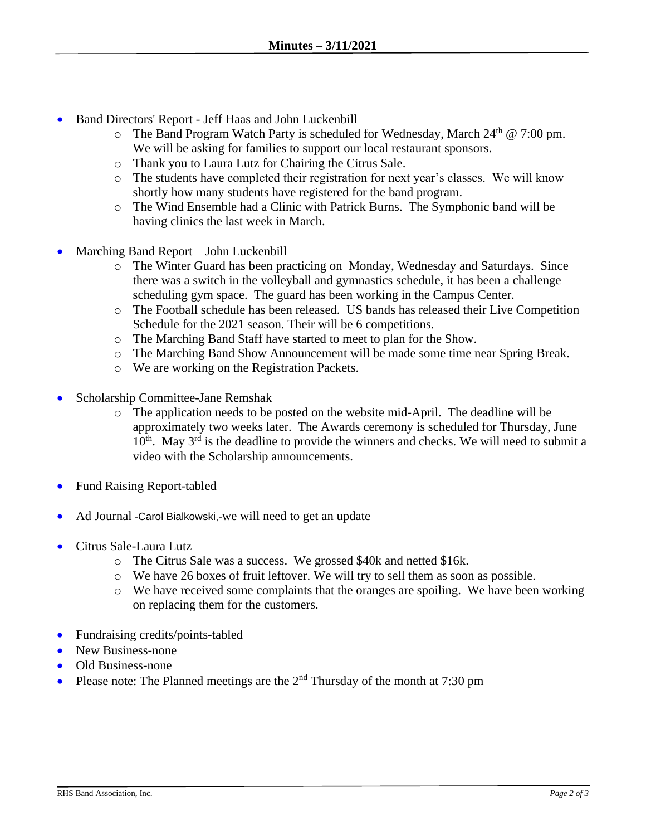- Band Directors' Report Jeff Haas and John Luckenbill
	- $\circ$  The Band Program Watch Party is scheduled for Wednesday, March 24<sup>th</sup> @ 7:00 pm. We will be asking for families to support our local restaurant sponsors.
	- o Thank you to Laura Lutz for Chairing the Citrus Sale.
	- o The students have completed their registration for next year's classes. We will know shortly how many students have registered for the band program.
	- o The Wind Ensemble had a Clinic with Patrick Burns. The Symphonic band will be having clinics the last week in March.
- Marching Band Report John Luckenbill
	- o The Winter Guard has been practicing on Monday, Wednesday and Saturdays. Since there was a switch in the volleyball and gymnastics schedule, it has been a challenge scheduling gym space. The guard has been working in the Campus Center.
	- o The Football schedule has been released. US bands has released their Live Competition Schedule for the 2021 season. Their will be 6 competitions.
	- o The Marching Band Staff have started to meet to plan for the Show.
	- o The Marching Band Show Announcement will be made some time near Spring Break.
	- o We are working on the Registration Packets.
- Scholarship Committee-Jane Remshak
	- o The application needs to be posted on the website mid-April. The deadline will be approximately two weeks later. The Awards ceremony is scheduled for Thursday, June  $10<sup>th</sup>$ . May  $3<sup>rd</sup>$  is the deadline to provide the winners and checks. We will need to submit a video with the Scholarship announcements.
- Fund Raising Report-tabled
- Ad Journal -Carol Bialkowski,-we will need to get an update
- Citrus Sale-Laura Lutz
	- o The Citrus Sale was a success. We grossed \$40k and netted \$16k.
	- o We have 26 boxes of fruit leftover. We will try to sell them as soon as possible.
	- o We have received some complaints that the oranges are spoiling. We have been working on replacing them for the customers.
- Fundraising credits/points-tabled
- New Business-none
- Old Business-none
- Please note: The Planned meetings are the  $2<sup>nd</sup>$  Thursday of the month at 7:30 pm